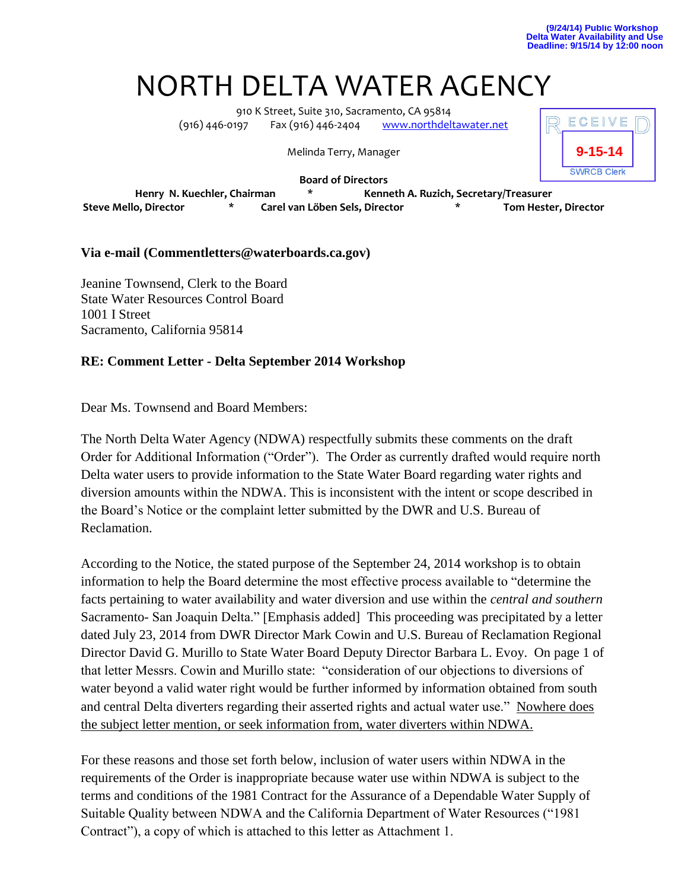## NORTH DELTA WATER AGENCY

910 K Street, Suite 310, Sacramento, CA 95814 (916) 446-0197 Fax (916) 446-2404 WWW.northdeltawater.net

Melinda Terry, Manager



**Board of Directors Henry N. Kuechler, Chairman \* Kenneth A. Ruzich, Secretary/Treasurer Steve Mello, Director \* Carel van Löben Sels, Director \* Tom Hester, Director**

## **Via e-mail (Commentletters@waterboards.ca.gov)**

Jeanine Townsend, Clerk to the Board State Water Resources Control Board 1001 I Street Sacramento, California 95814

## **RE: Comment Letter - Delta September 2014 Workshop**

Dear Ms. Townsend and Board Members:

The North Delta Water Agency (NDWA) respectfully submits these comments on the draft Order for Additional Information ("Order"). The Order as currently drafted would require north Delta water users to provide information to the State Water Board regarding water rights and diversion amounts within the NDWA. This is inconsistent with the intent or scope described in the Board's Notice or the complaint letter submitted by the DWR and U.S. Bureau of Reclamation.

According to the Notice, the stated purpose of the September 24, 2014 workshop is to obtain information to help the Board determine the most effective process available to "determine the facts pertaining to water availability and water diversion and use within the *central and southern* Sacramento- San Joaquin Delta." [Emphasis added] This proceeding was precipitated by a letter dated July 23, 2014 from DWR Director Mark Cowin and U.S. Bureau of Reclamation Regional Director David G. Murillo to State Water Board Deputy Director Barbara L. Evoy. On page 1 of that letter Messrs. Cowin and Murillo state: "consideration of our objections to diversions of water beyond a valid water right would be further informed by information obtained from south and central Delta diverters regarding their asserted rights and actual water use." Nowhere does the subject letter mention, or seek information from, water diverters within NDWA.

For these reasons and those set forth below, inclusion of water users within NDWA in the requirements of the Order is inappropriate because water use within NDWA is subject to the terms and conditions of the 1981 Contract for the Assurance of a Dependable Water Supply of Suitable Quality between NDWA and the California Department of Water Resources ("1981 Contract"), a copy of which is attached to this letter as Attachment 1.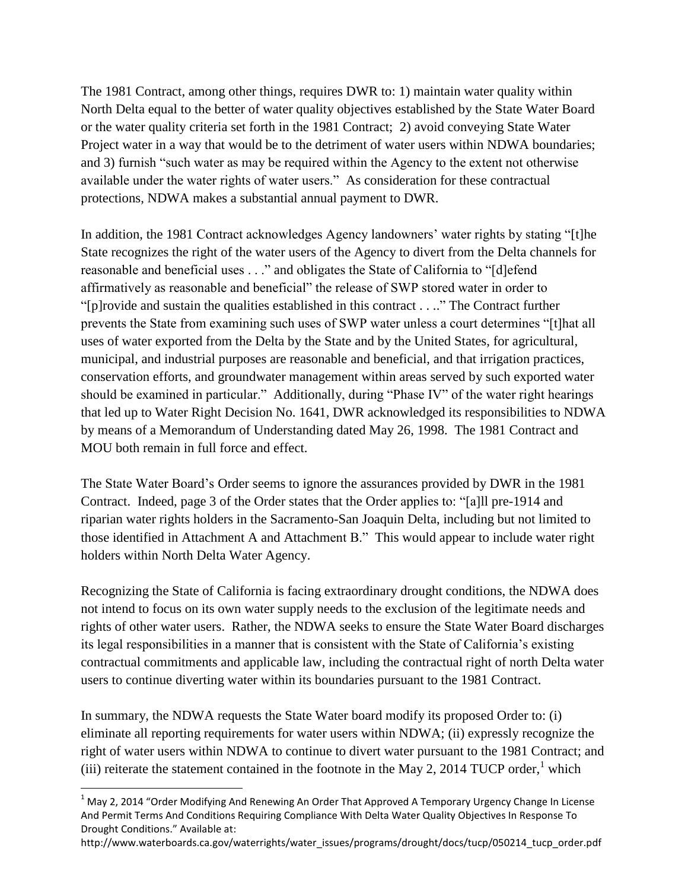The 1981 Contract, among other things, requires DWR to: 1) maintain water quality within North Delta equal to the better of water quality objectives established by the State Water Board or the water quality criteria set forth in the 1981 Contract; 2) avoid conveying State Water Project water in a way that would be to the detriment of water users within NDWA boundaries; and 3) furnish "such water as may be required within the Agency to the extent not otherwise available under the water rights of water users." As consideration for these contractual protections, NDWA makes a substantial annual payment to DWR.

In addition, the 1981 Contract acknowledges Agency landowners' water rights by stating "[t]he State recognizes the right of the water users of the Agency to divert from the Delta channels for reasonable and beneficial uses . . ." and obligates the State of California to "[d]efend affirmatively as reasonable and beneficial" the release of SWP stored water in order to "[p]rovide and sustain the qualities established in this contract . . .." The Contract further prevents the State from examining such uses of SWP water unless a court determines "[t]hat all uses of water exported from the Delta by the State and by the United States, for agricultural, municipal, and industrial purposes are reasonable and beneficial, and that irrigation practices, conservation efforts, and groundwater management within areas served by such exported water should be examined in particular." Additionally, during "Phase IV" of the water right hearings that led up to Water Right Decision No. 1641, DWR acknowledged its responsibilities to NDWA by means of a Memorandum of Understanding dated May 26, 1998. The 1981 Contract and MOU both remain in full force and effect.

The State Water Board's Order seems to ignore the assurances provided by DWR in the 1981 Contract. Indeed, page 3 of the Order states that the Order applies to: "[a]ll pre-1914 and riparian water rights holders in the Sacramento-San Joaquin Delta, including but not limited to those identified in Attachment A and Attachment B." This would appear to include water right holders within North Delta Water Agency.

Recognizing the State of California is facing extraordinary drought conditions, the NDWA does not intend to focus on its own water supply needs to the exclusion of the legitimate needs and rights of other water users. Rather, the NDWA seeks to ensure the State Water Board discharges its legal responsibilities in a manner that is consistent with the State of California's existing contractual commitments and applicable law, including the contractual right of north Delta water users to continue diverting water within its boundaries pursuant to the 1981 Contract.

In summary, the NDWA requests the State Water board modify its proposed Order to: (i) eliminate all reporting requirements for water users within NDWA; (ii) expressly recognize the right of water users within NDWA to continue to divert water pursuant to the 1981 Contract; and (iii) reiterate the statement contained in the footnote in the May 2, 2014 TUCP order,<sup>1</sup> which

 $\overline{a}$ 

http://www.waterboards.ca.gov/waterrights/water\_issues/programs/drought/docs/tucp/050214\_tucp\_order.pdf

 $1$  May 2, 2014 "Order Modifying And Renewing An Order That Approved A Temporary Urgency Change In License And Permit Terms And Conditions Requiring Compliance With Delta Water Quality Objectives In Response To Drought Conditions." Available at: